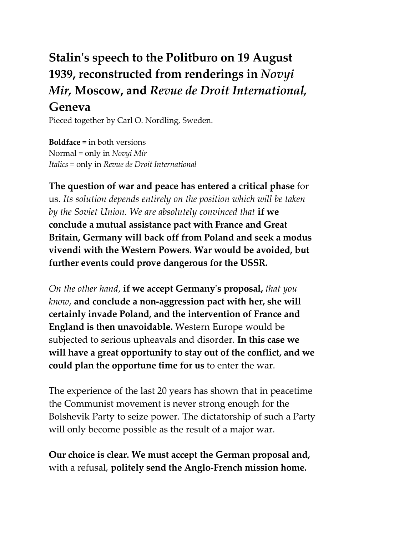## **Stalin's speech to the Politburo on 19 August 1939, reconstructed from renderings in** *Novyi Mir,* **Moscow, and** *Revue de Droit International,* **Geneva**

Pieced together by Carl O. Nordling, Sweden.

**Boldface =** in both versions Normal = only in *Novyi Mir Italics* = only in *Revue de Droit International*

**The question of war and peace has entered a critical phase** for us. *Its solution depends entirely on the position which will be taken by the Soviet Union. We are absolutely convinced that* **if we conclude a mutual assistance pact with France and Great Britain, Germany will back off from Poland and seek a modus vivendi with the Western Powers. War would be avoided, but further events could prove dangerous for the USSR.**

*On the other hand*, **if we accept Germany's proposal,** *that you know*, **and conclude a non-aggression pact with her, she will certainly invade Poland, and the intervention of France and England is then unavoidable.** Western Europe would be subjected to serious upheavals and disorder. **In this case we will have a great opportunity to stay out of the conflict, and we could plan the opportune time for us** to enter the war.

The experience of the last 20 years has shown that in peacetime the Communist movement is never strong enough for the Bolshevik Party to seize power. The dictatorship of such a Party will only become possible as the result of a major war.

**Our choice is clear. We must accept the German proposal and,** with a refusal, **politely send the Anglo-French mission home.**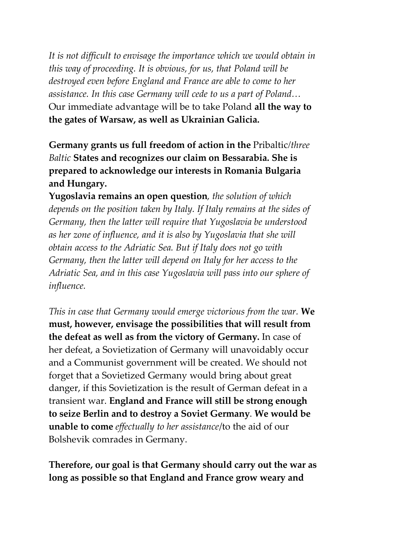*It is not difficult to envisage the importance which we would obtain in this way of proceeding. It is obvious, for us, that Poland will be destroyed even before England and France are able to come to her assistance. In this case Germany will cede to us a part of Poland…* Our immediate advantage will be to take Poland **all the way to the gates of Warsaw, as well as Ukrainian Galicia.**

**Germany grants us full freedom of action in the** Pribaltic*/three Baltic* **States and recognizes our claim on Bessarabia. She is prepared to acknowledge our interests in Romania Bulgaria and Hungary.**

**Yugoslavia remains an open question***, the solution of which depends on the position taken by Italy. If Italy remains at the sides of Germany, then the latter will require that Yugoslavia be understood as her zone of influence, and it is also by Yugoslavia that she will obtain access to the Adriatic Sea. But if Italy does not go with Germany, then the latter will depend on Italy for her access to the Adriatic Sea, and in this case Yugoslavia will pass into our sphere of influence.*

*This in case that Germany would emerge victorious from the war.* **We must, however, envisage the possibilities that will result from the defeat as well as from the victory of Germany.** In case of her defeat, a Sovietization of Germany will unavoidably occur and a Communist government will be created. We should not forget that a Sovietized Germany would bring about great danger, if this Sovietization is the result of German defeat in a transient war. **England and France will still be strong enough to seize Berlin and to destroy a Soviet Germany**. **We would be unable to come** *effectually to her assistance*/to the aid of our Bolshevik comrades in Germany.

**Therefore, our goal is that Germany should carry out the war as long as possible so that England and France grow weary and**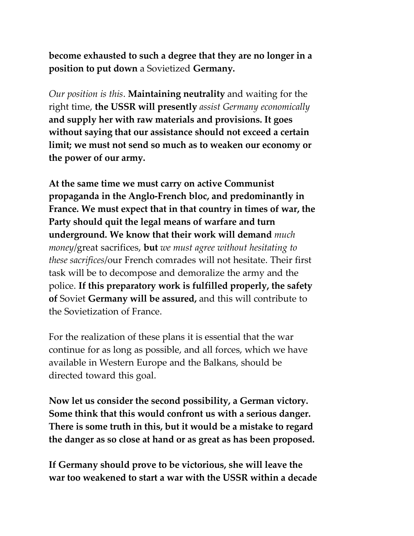**become exhausted to such a degree that they are no longer in a position to put down** a Sovietized **Germany.** 

*Our position is this*. **Maintaining neutrality** and waiting for the right time, **the USSR will presently** *assist Germany economically* **and supply her with raw materials and provisions. It goes without saying that our assistance should not exceed a certain limit; we must not send so much as to weaken our economy or the power of our army.**

**At the same time we must carry on active Communist propaganda in the Anglo-French bloc, and predominantly in France. We must expect that in that country in times of war, the Party should quit the legal means of warfare and turn underground. We know that their work will demand** *much money*/great sacrifices, **but** *we must agree without hesitating to these sacrifices*/our French comrades will not hesitate. Their first task will be to decompose and demoralize the army and the police. **If this preparatory work is fulfilled properly, the safety of** Soviet **Germany will be assured,** and this will contribute to the Sovietization of France.

For the realization of these plans it is essential that the war continue for as long as possible, and all forces, which we have available in Western Europe and the Balkans, should be directed toward this goal.

**Now let us consider the second possibility, a German victory. Some think that this would confront us with a serious danger. There is some truth in this, but it would be a mistake to regard the danger as so close at hand or as great as has been proposed.**

**If Germany should prove to be victorious, she will leave the war too weakened to start a war with the USSR within a decade**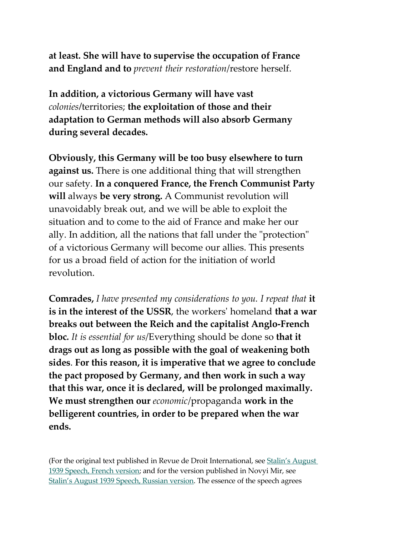**at least. She will have to supervise the occupation of France and England and to** *prevent their restoration*/restore herself.

**In addition, a victorious Germany will have vast** *colonies/*territories; **the exploitation of those and their adaptation to German methods will also absorb Germany during several decades.**

**Obviously, this Germany will be too busy elsewhere to turn against us.** There is one additional thing that will strengthen our safety. **In a conquered France, the French Communist Party will** always **be very strong.** A Communist revolution will unavoidably break out, and we will be able to exploit the situation and to come to the aid of France and make her our ally. In addition, all the nations that fall under the "protection" of a victorious Germany will become our allies. This presents for us a broad field of action for the initiation of world revolution.

**Comrades,** *I have presented my considerations to you. I repeat that* **it is in the interest of the USSR**, the workers' homeland **that a war breaks out between the Reich and the capitalist Anglo-French bloc***. It is essential for us*/Everything should be done so **that it drags out as long as possible with the goal of weakening both sides**. **For this reason, it is imperative that we agree to conclude the pact proposed by Germany, and then work in such a way that this war, once it is declared, will be prolonged maximally. We must strengthen our** *economic*/propaganda **work in the belligerent countries, in order to be prepared when the war ends.**

(For the original text published in Revue de Droit International, see [Stalin's August](http://www.carlonordling.se/ww2/stalin_speech_french.html) [1939 Speech, French version;](http://www.carlonordling.se/ww2/stalin_speech_french.html) and for the version published in Novyi Mir, see [Stalin's August 1939 Speech, Russian version.](http://www.carlonordling.se/ww2/stalin_speech_russian.html) The essence of the speech agrees